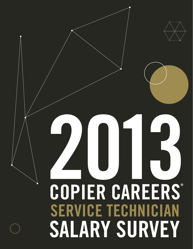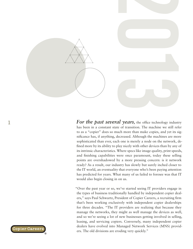

**1** *For the past several years,* the office technology industry has been in a constant state of transition. The machine we still refer to as a "copier" does so much more than make copies, and yet its significance has, if anything, decreased. Although the machines are more sophisticated than ever, each one is merely a node on the network, defined more by its ability to play nicely with other devices than by any of its intrinsic characteristics. Where specs like image quality, print speeds, and finishing capabilities were once paramount, today these selling points are overshadowed by a more pressing concern: is it network ready? As a result, our industry has slowly but surely inched closer to the IT world, an eventuality that everyone who's been paying attention has predicted for years. What many of us failed to foresee was that IT would also begin closing in on us.

> "Over the past year or so, we've started seeing IT providers engage in the types of business traditionally handled by independent copier dealers," says Paul Schwartz, President of Copier Careers, a recruiting firm that's been working exclusively with independent copier dealerships for three decades. "The IT providers are realizing that because they manage the networks, they might as well manage the devices as well, and so we're seeing a lot of new businesses getting involved in selling, leasing, and servicing copiers. Conversely, many independent copier dealers have evolved into Managed Network Services (MNS) providers. The old divisions are eroding very quickly."

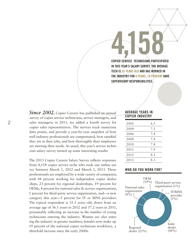**4,158 COPIER SERVICE TECHNICIANS PARTICIPATED IN THIS YEAR'S SALARY SURVEY. THE AVERAGE TECH IS 35 YEARS OLD AND HAS WORKED IN THE INDUSTRY FOR 8 YEARS. 18 PERCENT HAVE SUPERVISORY RESPONSIBILITIES.**

*Since 2002*, Copier Careers has published an annual survey of copier service technicians, service managers, and sales managers; in 2011, we added a fourth survey for copier sales representatives. The surveys track numerous data points, and provide a year-by-year snapshot of how well industry professionals are compensated, how satisfied they are in their jobs, and how thoroughly their employers are meeting their needs. As usual, this year's service technician salary survey turned up some interesting results.

The 2013 Copier Careers Salary Survey reflects responses from 4,158 copier service techs who took our online survey between March 1, 2012 and March 1, 2013. These professionals are employed by a wide variety of companies, with 44 percent working for independent copier dealerships, 23 percent for regional dealerships, 19 percent for OEMs, 8 percent for national sales & service organizations, 1 percent for third-party service organization, and—a new category this year—5 percent for IT or MNS providers. The typical respondent is 35.5 years old, down from an average age of 36.1 years in 2012 and 37.2 years in 2011, presumably reflecting an increase in the number of young technicians entering the industry. Women are also entering the industry in greater numbers; females now make up 19 percent of the national copier technician workforce, a threefold increase since the early 2000s.

#### **AVERAGE YEARS IN COPIER INDUSTRY**

| 2002 | 6.5 |
|------|-----|
| 2004 | 7.1 |
| 2006 | 7.4 |
| 2008 | 7.4 |
| 2010 | 7.8 |
| 2011 | 7.9 |
| 2012 | 8.1 |
| 2013 | 8.3 |

### **WHO DO YOU WORK FOR?**

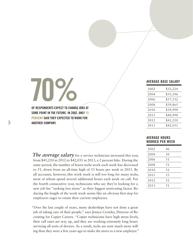# **70% OF RESPONDENTS EXPECT TO CHANGE JOBS AT**

**SOME POINT IN THE FUTURE. IN 2002, ONLY 15 PERCENT SAID THEY EXPECTED TO WORK FOR ANOTHER COMPANY.** 

**AVERAGE BASE SALARY**

| 2002 | \$32,224 |
|------|----------|
| 2004 | \$35,106 |
| 2006 | \$37,532 |
| 2008 | \$39,865 |
| 2010 | \$39,998 |
| 2011 | \$40,998 |
| 2012 | \$41,210 |
| 2013 | \$42,031 |
|      |          |

### **AVERAGE HOURS WORKED PER WEEK**

| 2002 | 46 |
|------|----|
| 2004 | 50 |
| 2006 | 51 |
| 2008 | 51 |
| 2010 | 52 |
| 2011 | 53 |
| 2012 | 52 |
| 2013 | 51 |
|      |    |

**The average salary** for a service technician increased this year, from \$41,210 in 2012 to \$42,031 in 2013, a 2 percent hike. During the same period, the number of hours techs work each week has decreased to 51, down from an all-time high of 53 hours per week in 2011. By all accounts, however, this work week is still too long for many techs, most of whom spend several additional hours each week on call. For the fourth consecutive year, technicians who say they're looking for a new job list "seeking less stress" as their biggest motivating factor. Reducing the length of the work week seems like an obvious first step for employers eager to retain their current employees.

"Over the last couple of years, many dealerships have not done a great job of taking care of their people," says Jessica Crowley, Director of Recruiting for Copier Careers. "Copier technicians have high stress levels, their call rates are way up, and they are working extremely long hours servicing all sorts of devices. As a result, techs are now much more willing than they were a few years ago to make the move to a new employer."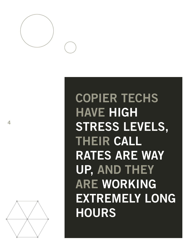

# **COPIER TECHS HAVE HIGH STRESS LEVELS, THEIR CALL RATES ARE WAY UP, AND THEY ARE WORKING EXTREMELY LONG HOURS**

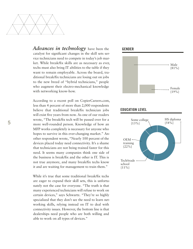

*Advances in technology* have been the catalyst for significant changes in the skill sets ser vice technicians need to compete in today's job mar ket. While break/fix skills are as necessary as ever, techs must also bring IT abilities to the table if they want to remain employable. Across the board, tra ditional break/fix technicians are losing out on jobs to the new breed of "hybrid technicians," people who augment their electro-mechanical knowledge with networking know-how.

According to a recent poll on CopierCareers.com, less than 4 percent of more than 2,000 respondents believe that traditional break/fix technician jobs will exist five years from now. As one of our readers wrote, "The break/fix tech will be passed over for a more well-rounded person. Knowledge of how an MFP works completely is necessary for anyone who hopes to survive in this ever-changing market." Another respondent wrote, "Nearly 100 percent of the devices placed today need connectivity. It's a shame that technicians are not being trained faster for this need. It seems many companies think one side of the business is break/fix and the other is IT. This is not true anymore, and many break/fix techs know it and are waiting for management to train them."

While it's true that some traditional break/fix techs are eager to expand their skill sets, this is unfortu nately not the case for everyone. "The truth is that many experienced technicians will refuse to work on certain devices," says Schwartz. "They're so highly specialized that they don't see the need to learn net working skills, relying instead on IT to deal with connectivity issues. However, the bottom line is that dealerships need people who are both willing and able to work on all types of devices."

#### **GENDER**



## **EDUCATION LEVEL**

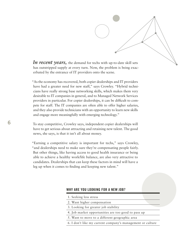

*In recent years,* the demand for techs with up-to-date skill sets has outstripped supply at every turn. Now, the problem is being exacerbated by the entrance of IT providers onto the scene.

"As the economy has recovered, both copier dealerships and IT providers have had a greater need for new staff," says Crowley. "Hybrid technicians have really strong base networking skills, which makes them very desirable to IT companies in general, and to Managed Network Services providers in particular. For copier dealerships, it can be difficult to compete for staff. The IT companies are often able to offer higher salaries, and they also provide technicians with an opportunity to learn new skills and engage more meaningfully with emerging technology."

To stay competitive, Crowley says, independent copier dealerships will have to get serious about attracting and retaining new talent. The good news, she says, is that it isn't all about money.

"Earning a competitive salary is important for techs," says Crowley, "and dealerships need to make sure they're compensating people fairly. But other things, like having access to good health insurance or being able to achieve a healthy work/life balance, are also very attractive to candidates. Dealerships that can keep these factors in mind will have a leg up when it comes to finding and keeping new talent."

#### **WHY ARE YOU LOOKING FOR A NEW JOB?**

- 1. Seeking less stress
- 2. Want higher compensation
- 3. Looking for greater job stability
- 4. Job market opportunities are too good to pass up
- 5. Want to move to a different geographic area
- 6. I don't like my current company's management or culture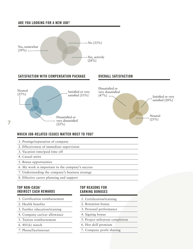# **ARE YOU LOOKING FOR A NEW JOB?**



# **WHICH JOB-RELATED ISSUES MATTER MOST TO YOU?**

- 1. Prestige/reputation of company
- 2. Effectiveness of immediate supervision
- 3. Vacation time/paid time off
- 4. Casual attire
- 5. Bonus opportunities
- 6. My work is important to the company's success
- 7. Understanding the company's business strategy
- 8. Effective career planning and support

## **TOP NON-CASH/ INDIRECT CASH REWARDS**

- 1. Certification reimbursement
- 2. Health benefits
- 3. Further education/training
- 4. Company car/car allowance
- 5. Tuition reimbursement
- 6. 401(k) match
- 7. Phone/fax/internet

# **TOP REASONS FOR EARNING BONUSES**

- 1. Certification/training
- 2. Retention bonus
- 3. Personal performance
- 4. Signing bonus
- 5. Project milestone completion
- 6. Hot skill premium
- 7. Company profit sharing

**7**